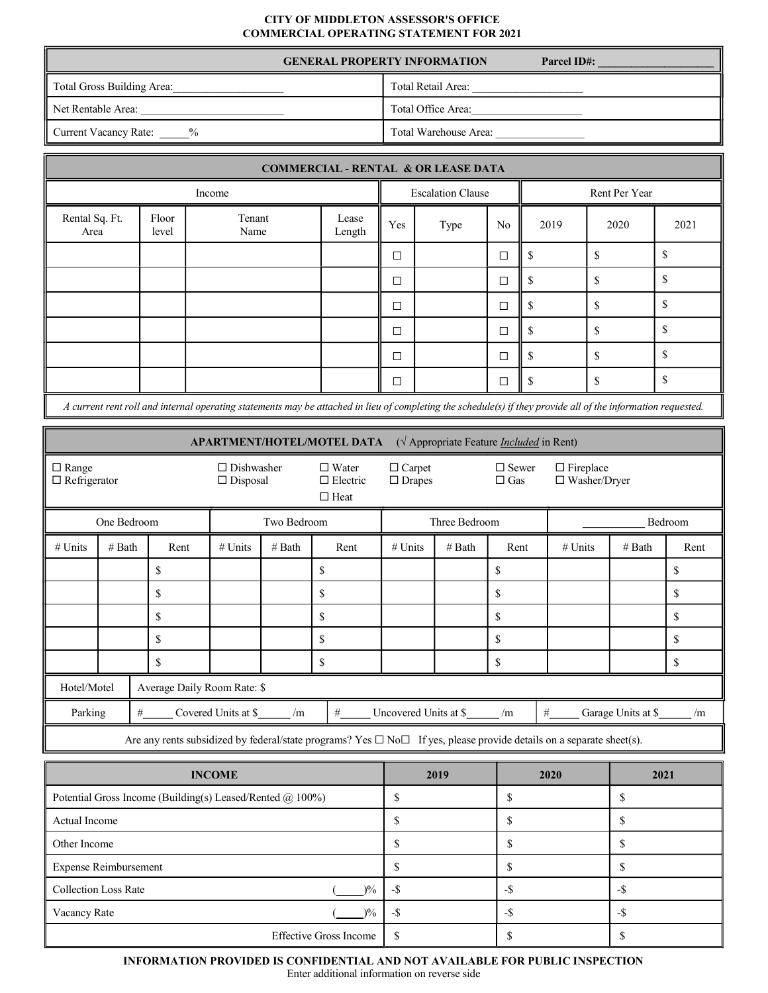## **CITY OF MIDDLETON ASSESSOR'S OFFICE COMMERCIAL OPERATING STATEMENT FOR 2021**

|                                     | <b>GENERAL PROPERTY INFORMATION</b><br><b>Parcel ID#:</b> |
|-------------------------------------|-----------------------------------------------------------|
| Total Gross Building Area:          | Total Retail Area:                                        |
| ll Net Rentable Area:               | Total Office Area:                                        |
| Current Vacancy Rate: $\frac{9}{6}$ | Total Warehouse Area:                                     |

| <b>COMMERCIAL - RENTAL &amp; OR LEASE DATA</b>                                                                                                                |                |                |                          |        |      |               |               |      |      |
|---------------------------------------------------------------------------------------------------------------------------------------------------------------|----------------|----------------|--------------------------|--------|------|---------------|---------------|------|------|
| Income                                                                                                                                                        |                |                | <b>Escalation Clause</b> |        |      | Rent Per Year |               |      |      |
| Rental Sq. Ft.<br>Area                                                                                                                                        | Floor<br>level | Tenant<br>Name | Lease<br>Length          | Yes    | Type | No            | 2019          | 2020 | 2021 |
|                                                                                                                                                               |                |                |                          | $\Box$ |      | □             | \$.           | \$   | \$   |
|                                                                                                                                                               |                |                |                          | $\Box$ |      | □             | \$.           | \$   | \$   |
|                                                                                                                                                               |                |                |                          | $\Box$ |      | $\Box$        | <sup>\$</sup> | \$   | \$   |
|                                                                                                                                                               |                |                |                          | $\Box$ |      | □             | \$.           | \$   | \$   |
|                                                                                                                                                               |                |                |                          | $\Box$ |      | $\Box$        | <sup>\$</sup> | \$   | \$   |
|                                                                                                                                                               |                |                |                          | $\Box$ |      | $\Box$        | S             | S    | \$   |
| A current rent roll and internal operating statements may be attached in lieu of completing the schedule(s) if they provide all of the information requested. |                |                |                          |        |      |               |               |      |      |

**APARTMENT/HOTEL/MOTEL DATA** ( $\sqrt{\ }$  Appropriate Feature *Included* in Rent) □ Range □ Refrigerator □ Dishwasher  $\square$  Disposal □ Water □ Electric  $\Box$  Heat □ Carpet □ Drapes □ Sewer  $\Box$ Gas  $\Box$  Fireplace Washer/Dryer One Bedroom Two Bedroom Two Bedroom Three Bedroom Three Bedroom Bedroom Bedroom # Units | # Bath | Rent | # Units | # Bath | Rent | # Units | # Bath | Rent | # Wnits | # Bath | Rent \$ \$ \$ \$ \$ \$ \$ \$ \$ \$ \$ \$ \$ \$ \$ \$ \$ \$ \$ \$ Hotel/Motel | Average Daily Room Rate: \$ Parking  $\frac{#1}{\frac{4}{4}}$  Covered Units at \$ /m  $\frac{#1}{\frac{4}{4}}$  Uncovered Units at \$ /m  $\frac{#1}{\frac{4}{4}}$  Garage Units at \$ /m Are any rents subsidized by federal/state programs? Yes  $\Box$  No $\Box$  If yes, please provide details on a separate sheet(s).

| <b>INCOME</b>                                             | 2019 | 2020 | 2021 |
|-----------------------------------------------------------|------|------|------|
| Potential Gross Income (Building(s) Leased/Rented @ 100%) |      |      |      |
| Actual Income                                             |      |      |      |
| Other Income                                              |      |      |      |
| <b>Expense Reimbursement</b>                              |      |      |      |
| <b>Collection Loss Rate</b><br>$\frac{10}{6}$             | -\$  | - 5  | -ъ   |
| Vacancy Rate<br>$\frac{10}{6}$                            |      | -љ   |      |
| <b>Effective Gross Income</b>                             |      |      |      |

INFORMATION PROVIDED IS CONFIDENTIAL AND NOT AVAILABLE FOR PUBLIC INSPECTION

Enter additional information on reverse side